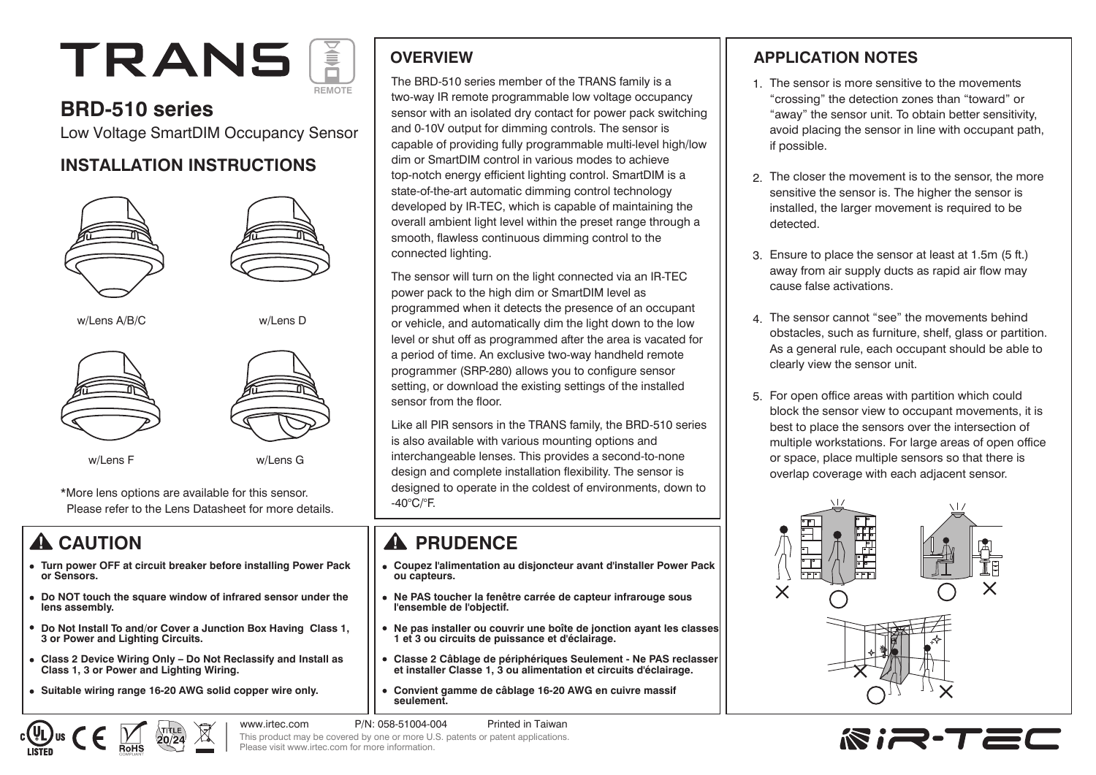# **TRANS REMOTE**

## **BRD-510 series**

Low Voltage SmartDIM Occupancy Sensor

#### **INSTALLATION INSTRUCTIONS**



w/Lens F w/Lens G

\*More lens options are available for this sensor. Please refer to the Lens Datasheet for more details.

- **Turn power OFF at circuit breaker before installing Power Pack or Sensors.**
- **Do NOT touch the square window of infrared sensor under the lens assembly.**
- **Do Not Install To and/or Cover a Junction Box Having Class 1, 3 or Power and Lighting Circuits.**
- **Class 2 Device Wiring Only Do Not Reclassify and Install as Class 1, 3 or Power and Lighting Wiring.**
- **Suitable wiring range 16-20 AWG solid copper wire only.**

#### **OVERVIEW**

The BRD-510 series member of the TRANS family is a two-way IR remote programmable low voltage occupancy sensor with an isolated dry contact for power pack switching and 0-10V output for dimming controls. The sensor is capable of providing fully programmable multi-level high/low dim or SmartDIM control in various modes to achieve top-notch energy efficient lighting control. SmartDIM is a state-of-the-art automatic dimming control technology developed by IR-TEC, which is capable of maintaining the overall ambient light level within the preset range through a smooth, flawless continuous dimming control to the connected lighting.

The sensor will turn on the light connected via an IR-TEC power pack to the high dim or SmartDIM level as programmed when it detects the presence of an occupant or vehicle, and automatically dim the light down to the low level or shut off as programmed after the area is vacated for a period of time. An exclusive two-way handheld remote programmer (SRP-280) allows you to configure sensor setting, or download the existing settings of the installed sensor from the floor.

Like all PIR sensors in the TRANS family, the BRD-510 series is also available with various mounting options and interchangeable lenses. This provides a second-to-none design and complete installation flexibility. The sensor is designed to operate in the coldest of environments, down to -40°C/°F.

# **A CAUTION RELATION**

- **Coupez l'alimentation au disjoncteur avant d'installer Power Pack ou capteurs.**
- **Ne PAS toucher la fenêtre carrée de capteur infrarouge sous l'ensemble de l'objectif.**
- **Ne pas installer ou couvrir une boîte de jonction ayant les classes 1 et 3 ou circuits de puissance et d'éclairage.**
- $\bullet$ **Classe 2 Câblage de périphériques Seulement - Ne PAS reclasser et installer Classe 1, 3 ou alimentation et circuits d'éclairage.**
- **Convient gamme de câblage 16-20 AWG en cuivre massif**   $\bullet$ **seulement.**

www.irtec.com P/N: 058-51004-004 Printed in Taiwan

#### **APPLICATION NOTES**

- 1. The sensor is more sensitive to the movements "crossing" the detection zones than "toward" or "away" the sensor unit. To obtain better sensitivity, avoid placing the sensor in line with occupant path, if possible.
- The closer the movement is to the sensor, the more 2. sensitive the sensor is. The higher the sensor is installed, the larger movement is required to be detected.
- Ensure to place the sensor at least at 1.5m (5 ft.) 3. away from air supply ducts as rapid air flow may cause false activations.
- The sensor cannot "see" the movements behind 4. obstacles, such as furniture, shelf, glass or partition. As a general rule, each occupant should be able to clearly view the sensor unit.
- 5. For open office areas with partition which could block the sensor view to occupant movements, it is best to place the sensors over the intersection of multiple workstations. For large areas of open office or space, place multiple sensors so that there is overlap coverage with each adjacent sensor.





#### This product may be covered by one or more U.S. patents or patent applications. Please visit www.irtec.com for more information.